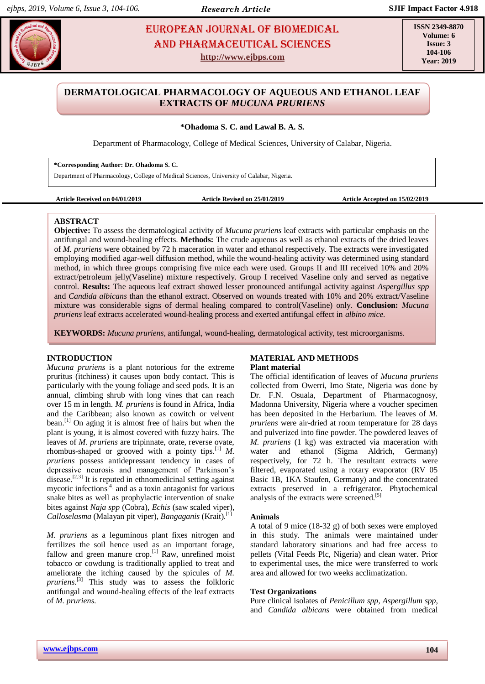# **EUROPEAN JOURNAL OF BIOMEDICAL AND SEX 234** AND Pharmaceutical sciences **http://www.ejbps.com**

**ISSN 2349-8870 Volume: 6 Issue: 3 104-106 Year: 2019**

# **DERMATOLOGICAL PHARMACOLOGY OF AQUEOUS AND ETHANOL LEAF EXTRACTS OF** *MUCUNA PRURIENS*

**\*Ohadoma S. C. and Lawal B. A. S.**

Department of Pharmacology, College of Medical Sciences, University of Calabar, Nigeria.

**\*Corresponding Author: Dr. Ohadoma S. C.**

Department of Pharmacology, College of Medical Sciences, University of Calabar, Nigeria.

**Article Received on 04/01/2019 Article Revised on 25/01/2019 Article Accepted on 15/02/2019**

# **ABSTRACT**

**Objective:** To assess the dermatological activity of *Mucuna pruriens* leaf extracts with particular emphasis on the antifungal and wound-healing effects. **Methods:** The crude aqueous as well as ethanol extracts of the dried leaves of *M. pruriens* were obtained by 72 h maceration in water and ethanol respectively. The extracts were investigated employing modified agar-well diffusion method, while the wound-healing activity was determined using standard method, in which three groups comprising five mice each were used. Groups II and III received 10% and 20% extract/petroleum jelly(Vaseline) mixture respectively. Group I received Vaseline only and served as negative control. **Results:** The aqueous leaf extract showed lesser pronounced antifungal activity against *Aspergillus spp* and *Candida albicans* than the ethanol extract. Observed on wounds treated with 10% and 20% extract/Vaseline mixture was considerable signs of dermal healing compared to control(Vaseline) only. **Conclusion:** *Mucuna pruriens* leaf extracts accelerated wound-healing process and exerted antifungal effect in *albino mice.*

**KEYWORDS:** *Mucuna pruriens,* antifungal, wound-healing, dermatological activity, test microorganisms.

# **INTRODUCTION**

*Mucuna pruriens* is a plant notorious for the extreme pruritus (itchiness) it causes upon body contact. This is particularly with the young foliage and seed pods. It is an annual, climbing shrub with long vines that can reach over 15 m in length. *M. pruriens* is found in Africa, India and the Caribbean; also known as cowitch or velvent bean.<sup>[1]</sup> On aging it is almost free of hairs but when the plant is young, it is almost covered with fuzzy hairs. The leaves of *M. pruriens* are tripinnate, orate, reverse ovate, rhombus-shaped or grooved with a pointy tips.  $\left[1\right]$  *M*. *pruriens* possess antidepressant tendency in cases of depressive neurosis and management of Parkinson's disease.<sup>[2,3]</sup> It is reputed in ethnomedicinal setting against mycotic infections $\binom{4}{4}$  and as a toxin antagonist for various snake bites as well as prophylactic intervention of snake bites against *Naja spp* (Cobra), *Echis* (saw scaled viper), *Calloselasma* (Malayan pit viper), *Bangaganis* (Krait). [1]

*M. pruriens* as a leguminous plant fixes nitrogen and fertilizes the soil hence used as an important forage, fallow and green manure crop.<sup>[1]</sup> Raw, unrefined moist tobacco or cowdung is traditionally applied to treat and ameliorate the itching caused by the spicules of *M.*  pruriens.<sup>[3]</sup> This study was to assess the folkloric antifungal and wound-healing effects of the leaf extracts of *M. pruriens*.

# **MATERIAL AND METHODS Plant material**

The official identification of leaves of *Mucuna pruriens*  collected from Owerri, Imo State, Nigeria was done by Dr. F.N. Osuala, Department of Pharmacognosy, Madonna University, Nigeria where a voucher specimen has been deposited in the Herbarium. The leaves of *M. pruriens* were air-dried at room temperature for 28 days and pulverized into fine powder. The powdered leaves of *M. pruriens* (1 kg) was extracted via maceration with water and ethanol (Sigma Aldrich, Germany) respectively, for 72 h. The resultant extracts were filtered, evaporated using a rotary evaporator (RV 05 Basic 1B, 1KA Staufen, Germany) and the concentrated extracts preserved in a refrigerator. Phytochemical analysis of the extracts were screened. [5]

# **Animals**

A total of 9 mice (18-32 g) of both sexes were employed in this study. The animals were maintained under standard laboratory situations and had free access to pellets (Vital Feeds Plc, Nigeria) and clean water. Prior to experimental uses, the mice were transferred to work area and allowed for two weeks acclimatization.

# **Test Organizations**

Pure clinical isolates of *Penicillum spp, Aspergillum spp*, and *Candida albicans* were obtained from medical

**www.ejbps.com**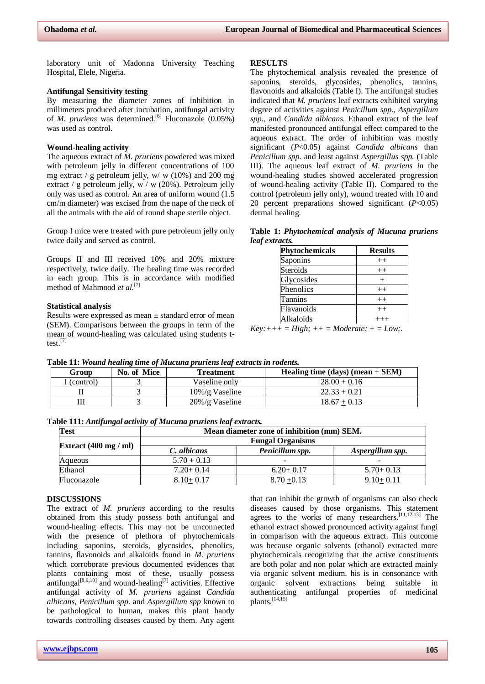laboratory unit of Madonna University Teaching Hospital, Elele, Nigeria.

### **Antifungal Sensitivity testing**

By measuring the diameter zones of inhibition in millimeters produced after incubation, antifungal activity of *M. pruriens* was determined.<sup>[6]</sup> Fluconazole (0.05%) was used as control.

#### **Wound-healing activity**

The aqueous extract of *M. pruriens* powdered was mixed with petroleum jelly in different concentrations of 100 mg extract / g petroleum jelly,  $w/w$  (10%) and 200 mg extract / g petroleum jelly, w / w (20%). Petroleum jelly only was used as control. An area of uniform wound (1.5 cm/m diameter) was excised from the nape of the neck of all the animals with the aid of round shape sterile object.

Group I mice were treated with pure petroleum jelly only twice daily and served as control.

Groups II and III received 10% and 20% mixture respectively, twice daily. The healing time was recorded in each group. This is in accordance with modified method of Mahmood et al.<sup>[7]</sup>

# **Statistical analysis**

Results were expressed as mean ± standard error of mean (SEM). Comparisons between the groups in term of the mean of wound-healing was calculated using students ttest. [7]

#### **RESULTS**

The phytochemical analysis revealed the presence of saponins, steroids, glycosides, phenolics, tannins, flavonoids and alkaloids (Table I). The antifungal studies indicated that *M. pruriens* leaf extracts exhibited varying degree of activities against *Penicillum spp*., *Aspergillum spp.,* and *Candida albicans.* Ethanol extract of the leaf manifested pronounced antifungal effect compared to the aqueous extract. The order of inhibition was mostly significant (*P*<0.05) against *Candida albicans* than *Penicillum spp.* and least against *Aspergillus spp.* (Table III). The aqueous leaf extract of *M. pruriens i*n the wound-healing studies showed accelerated progression of wound-healing activity (Table II). Compared to the control (petroleum jelly only), wound treated with 10 and 20 percent preparations showed significant (*P*<0.05) dermal healing.

**Table 1:** *Phytochemical analysis of Mucuna pruriens leaf extracts.*

| Phytochemicals | <b>Results</b> |
|----------------|----------------|
| Saponins       | $^{++}$        |
| Steroids       | $^{++}$        |
| Glycosides     |                |
| Phenolics      | $^{++}$        |
| <b>Tannins</b> | $^{++}$        |
| Flavanoids     | $^{++}$        |
| Alkaloids      |                |

 $Key:+++=High;++=Modern;+-=Low;$ .

**Table 11:** *Wound healing time of Mucuna pruriens leaf extracts in rodents.*

| Group     | No. of Mice | Treatment          | Healing time (days) (mean $+$ SEM) |
|-----------|-------------|--------------------|------------------------------------|
| (control) |             | Vaseline onlv      | $28.00 + 0.16$                     |
|           |             | $10\%$ /g Vaseline | $22.33 + 0.21$                     |
|           |             | $20\%$ /g Vaseline | $18.67 + 0.13$                     |

|  |  | Table 111: Antifungal activity of Mucuna pruriens leaf extracts. |  |
|--|--|------------------------------------------------------------------|--|
|  |  |                                                                  |  |

| Test                                     | Mean diameter zone of inhibition (mm) SEM. |                          |                  |  |
|------------------------------------------|--------------------------------------------|--------------------------|------------------|--|
|                                          | <b>Fungal Organisms</b>                    |                          |                  |  |
| Extract $(400 \text{ mg } / \text{ ml})$ | C. albicans                                | Penicillum spp.          | Aspergillum spp. |  |
| Aqueous                                  | $5.70 + 0.13$                              | $\overline{\phantom{0}}$ | -                |  |
| Ethanol                                  | $7.20 + 0.14$                              | $6.20 + 0.17$            | $5.70+0.13$      |  |
| Fluconazole                              | $8.10 + 0.17$                              | $8.70 + 0.13$            | $9.10+0.11$      |  |

# **DISCUSSIONS**

The extract of *M. pruriens* according to the results obtained from this study possess both antifungal and wound-healing effects. This may not be unconnected with the presence of plethora of phytochemicals including saponins, steroids, glycosides, phenolics, tannins, flavonoids and alkaloids found in *M. pruriens* which corroborate previous documented evidences that plants containing most of these, usually possess antifungal $[8,9,10]$  and wound-healing<sup>[7]</sup> activities. Effective antifungal activity of *M. pruriens* against *Candida albicans*, *Penicillum spp.* and *Aspergillum spp* known to be pathological to human, makes this plant handy towards controlling diseases caused by them. Any agent

that can inhibit the growth of organisms can also check diseases caused by those organisms. This statement agrees to the works of many researchers.<sup>[11,12,13]</sup> The ethanol extract showed pronounced activity against fungi in comparison with the aqueous extract. This outcome was because organic solvents (ethanol) extracted more phytochemicals recognizing that the active constituents are both polar and non polar which are extracted mainly via organic solvent medium. his is in consonance with organic solvent extractions being suitable in authenticating antifungal properties of medicinal plants. [14,15]